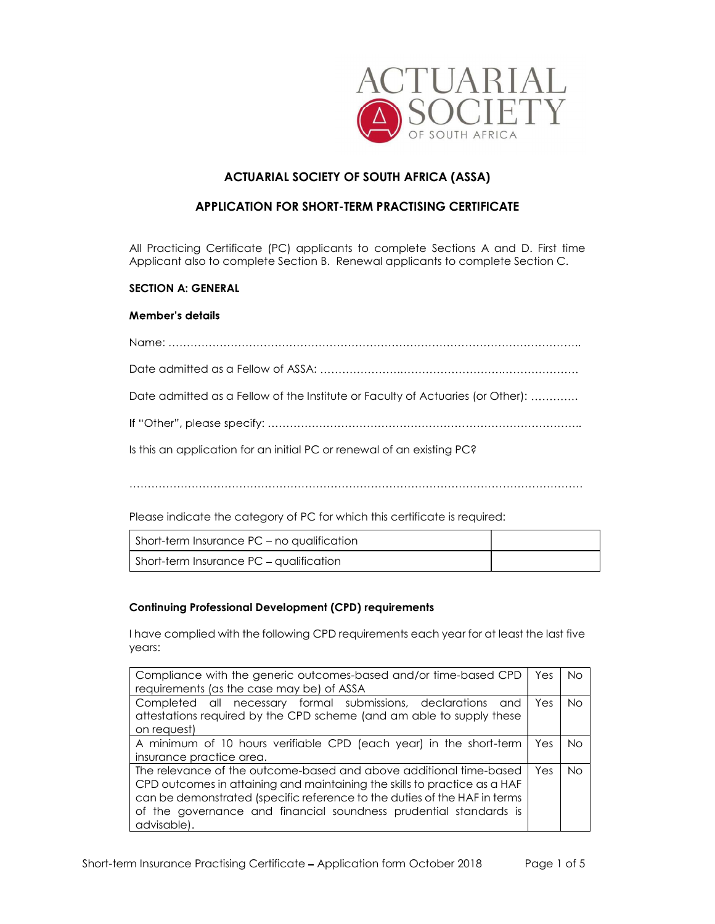

# ACTUARIAL SOCIETY OF SOUTH AFRICA (ASSA)

## APPLICATION FOR SHORT-TERM PRACTISING CERTIFICATE

All Practicing Certificate (PC) applicants to complete Sections A and D. First time Applicant also to complete Section B. Renewal applicants to complete Section C.

## SECTION A: GENERAL

## **Member's details**

| Date admitted as a Fellow of the Institute or Faculty of Actuaries (or Other): |
|--------------------------------------------------------------------------------|
|                                                                                |
| Is this an application for an initial PC or renewal of an existing PC?         |
|                                                                                |

Please indicate the category of PC for which this certificate is required:

| Short-term Insurance PC – no qualification |  |
|--------------------------------------------|--|
| Short-term Insurance PC – qualification    |  |

## Continuing Professional Development (CPD) requirements

I have complied with the following CPD requirements each year for at least the last five years:

| Compliance with the generic outcomes-based and/or time-based CPD          | Yes  | <b>No</b> |
|---------------------------------------------------------------------------|------|-----------|
| requirements (as the case may be) of ASSA                                 |      |           |
| Completed all necessary formal submissions, declarations<br>and           | Yes  | No.       |
| attestations required by the CPD scheme (and am able to supply these      |      |           |
| on request)                                                               |      |           |
| A minimum of 10 hours verifiable CPD (each year) in the short-term        | Yes. | No.       |
| insurance practice area.                                                  |      |           |
| The relevance of the outcome-based and above additional time-based        | Yes  | No.       |
| CPD outcomes in attaining and maintaining the skills to practice as a HAF |      |           |
| can be demonstrated (specific reference to the duties of the HAF in terms |      |           |
| of the governance and financial soundness prudential standards is         |      |           |
| advisable).                                                               |      |           |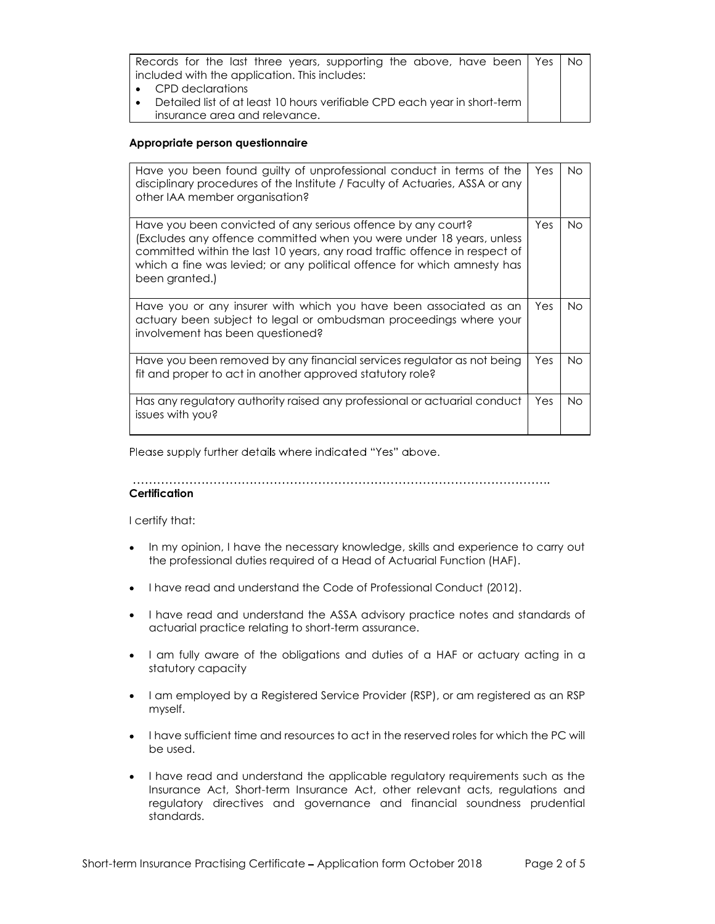| Records for the last three years, supporting the above, have been   Yes        | - No |
|--------------------------------------------------------------------------------|------|
| included with the application. This includes:                                  |      |
| $\bullet$ CPD declarations                                                     |      |
| Detailed list of at least 10 hours verifiable CPD each year in short-term<br>. |      |
| insurance area and relevance.                                                  |      |

### Appropriate person questionnaire

| Have you been found guilty of unprofessional conduct in terms of the<br>disciplinary procedures of the Institute / Faculty of Actuaries, ASSA or any<br>other IAA member organisation?                                                                                                                          | Yes | No. |
|-----------------------------------------------------------------------------------------------------------------------------------------------------------------------------------------------------------------------------------------------------------------------------------------------------------------|-----|-----|
| Have you been convicted of any serious offence by any court?<br>(Excludes any offence committed when you were under 18 years, unless<br>committed within the last 10 years, any road traffic offence in respect of<br>which a fine was levied; or any political offence for which amnesty has<br>been granted.) | Yes | No. |
| Have you or any insurer with which you have been associated as an<br>actuary been subject to legal or ombudsman proceedings where your<br>involvement has been questioned?                                                                                                                                      | Yes | No. |
| Have you been removed by any financial services regulator as not being<br>fit and proper to act in another approved statutory role?                                                                                                                                                                             | Yes | No. |
| Has any regulatory authority raised any professional or actuarial conduct<br>issues with you?                                                                                                                                                                                                                   | Yes | No. |

Please supply further details where indicated "Yes" above.

**Certification** 

I certify that:

- In my opinion, I have the necessary knowledge, skills and experience to carry out  $\bullet$ the professional duties required of a Head of Actuarial Function (HAF).
- I have read and understand the Code of Professional Conduct (2012).
- I have read and understand the ASSA advisory practice notes and standards of actuarial practice relating to short-term assurance.
- I am fully aware of the obligations and duties of a HAF or actuary acting in a statutory capacity
- I am employed by a Registered Service Provider (RSP), or am registered as an RSP myself.
- I have sufficient time and resources to act in the reserved roles for which the PC will be used.
- I have read and understand the applicable regulatory requirements such as the Insurance Act, Short-term Insurance Act, other relevant acts, regulations and regulatory directives and governance and financial soundness prudential standards.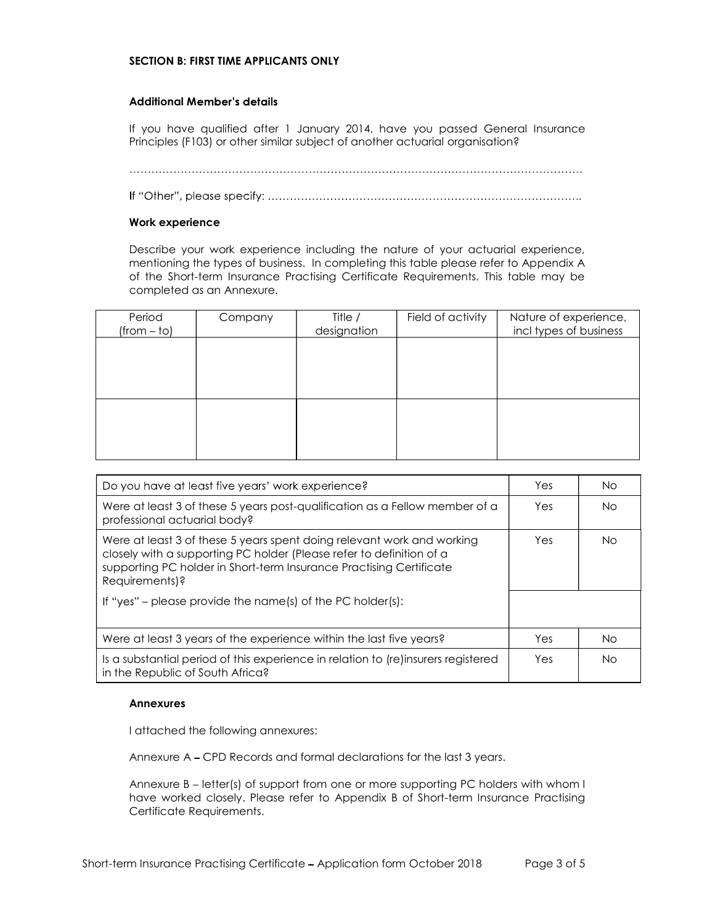### SECTION B: FIRST TIME APPLICANTS ONLY

#### **Additional Member's details**

If you have qualified after 1 January 2014, have you passed General Insurance Principles (F103) or other similar subject of another actuarial organisation?

#### Work experience

Describe your work experience including the nature of your actuarial experience, mentioning the types of business. In completing this table please refer to Appendix A of the Short-term Insurance Practising Certificate Requirements. This table may be completed as an Annexure.

| Period<br>$(from - to)$ | Company | Title /<br>designation | Field of activity | Nature of experience,<br>incl types of business |
|-------------------------|---------|------------------------|-------------------|-------------------------------------------------|
|                         |         |                        |                   |                                                 |
|                         |         |                        |                   |                                                 |
|                         |         |                        |                   |                                                 |
|                         |         |                        |                   |                                                 |
|                         |         |                        |                   |                                                 |

| Do you have at least five years' work experience?                                                                                                                                                                                       | Yes | No. |
|-----------------------------------------------------------------------------------------------------------------------------------------------------------------------------------------------------------------------------------------|-----|-----|
| Were at least 3 of these 5 years post-qualification as a Fellow member of a<br>professional actuarial body?                                                                                                                             | Yes | No. |
| Were at least 3 of these 5 years spent doing relevant work and working<br>closely with a supporting PC holder (Please refer to definition of a<br>supporting PC holder in Short-term Insurance Practising Certificate<br>Requirements)? | Yes | No. |
| If "yes" – please provide the name(s) of the PC holder(s):                                                                                                                                                                              |     |     |
| Were at least 3 years of the experience within the last five years?                                                                                                                                                                     | Yes | No. |
| Is a substantial period of this experience in relation to (re)insurers registered<br>in the Republic of South Africa?                                                                                                                   | Yes | No. |

#### Annexures

I attached the following annexures:

Annexure A CPD Records and formal declarations for the last 3 years.

Annexure  $B$  – letter(s) of support from one or more supporting PC holders with whom I have worked closely. Please refer to Appendix B of Short-term Insurance Practising Certificate Requirements.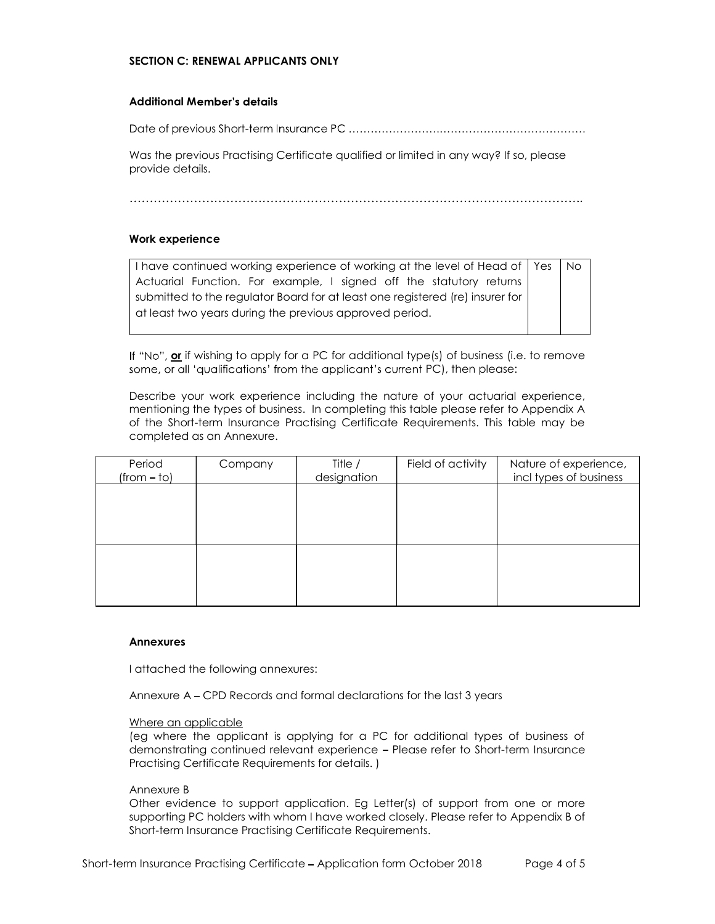## SECTION C: RENEWAL APPLICANTS ONLY

### **Additional Member's details**

Date of previous Short-

Was the previous Practising Certificate qualified or limited in any way? If so, please provide details.

#### Work experience

I have continued working experience of working at the level of Head of | Yes | No Actuarial Function. For example, I signed off the statutory returns submitted to the regulator Board for at least one registered (re) insurer for at least two years during the previous approved period. Yes

If "No", or if wishing to apply for a PC for additional type(s) of business (i.e. to remove some, or all 'qualifications' from the applicant's current PC), then please:

Describe your work experience including the nature of your actuarial experience, mentioning the types of business. In completing this table please refer to Appendix A of the Short-term Insurance Practising Certificate Requirements. This table may be completed as an Annexure.

| Nature of experience,<br>incl types of business |
|-------------------------------------------------|
|                                                 |
|                                                 |
|                                                 |
|                                                 |

#### Annexures

I attached the following annexures:

Annexure A CPD Records and formal declarations for the last 3 years

#### Where an applicable

(eg where the applicant is applying for a PC for additional types of business of demonstrating continued relevant experience Please refer to Short-term Insurance Practising Certificate Requirements for details. )

#### Annexure B

Other evidence to support application. Eg Letter(s) of support from one or more supporting PC holders with whom I have worked closely. Please refer to Appendix B of Short-term Insurance Practising Certificate Requirements.